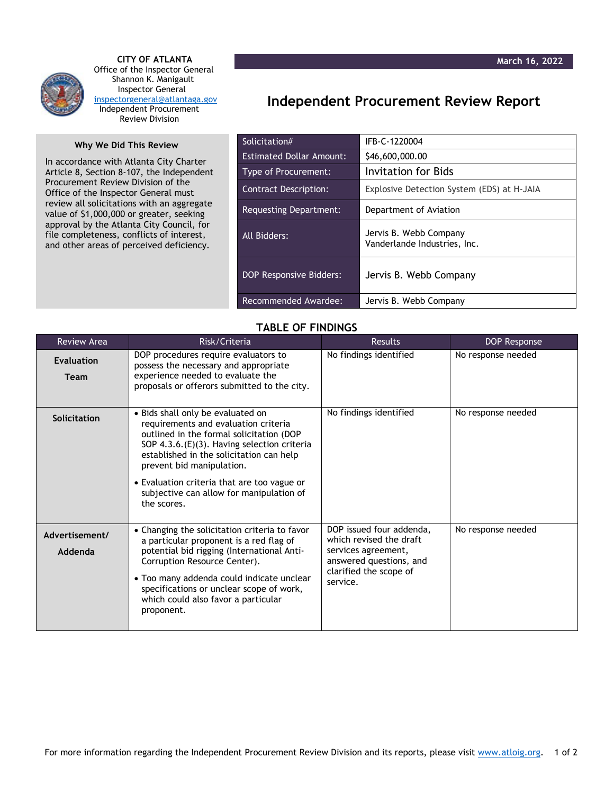

 **CITY OF ATLANTA** Office of the Inspector General Shannon K. Manigault Inspector General [inspectorgeneral@atlantaga.gov](mailto:inspectorgeneral@atlantaga.gov) Independent Procurement Review Division

## **Why We Did This Review**

In accordance with Atlanta City Charter Article 8, Section 8-107, the Independent Procurement Review Division of the Office of the Inspector General must review all solicitations with an aggregate value of \$1,000,000 or greater, seeking approval by the Atlanta City Council, for file completeness, conflicts of interest, and other areas of perceived deficiency.

## **Independent Procurement Review Report**

| Solicitation#                   | IFB-C-1220004                                          |
|---------------------------------|--------------------------------------------------------|
| <b>Estimated Dollar Amount:</b> | \$46,600,000.00                                        |
| Type of Procurement:            | Invitation for Bids                                    |
| <b>Contract Description:</b>    | Explosive Detection System (EDS) at H-JAIA             |
| Requesting Department:          | Department of Aviation                                 |
| All Bidders:                    | Jervis B. Webb Company<br>Vanderlande Industries, Inc. |
| <b>DOP Responsive Bidders:</b>  | Jervis B. Webb Company                                 |
| Recommended Awardee:            | Jervis B. Webb Company                                 |

## **TABLE OF FINDINGS**

| <b>Review Area</b>               | Risk/Criteria                                                                                                                                                                                                                                                                                                                                           | <b>Results</b>                                                                                                                              | DOP Response       |
|----------------------------------|---------------------------------------------------------------------------------------------------------------------------------------------------------------------------------------------------------------------------------------------------------------------------------------------------------------------------------------------------------|---------------------------------------------------------------------------------------------------------------------------------------------|--------------------|
| <b>Evaluation</b><br><b>Team</b> | DOP procedures require evaluators to<br>possess the necessary and appropriate<br>experience needed to evaluate the<br>proposals or offerors submitted to the city.                                                                                                                                                                                      | No findings identified                                                                                                                      | No response needed |
| Solicitation                     | · Bids shall only be evaluated on<br>requirements and evaluation criteria<br>outlined in the formal solicitation (DOP<br>SOP 4.3.6.(E)(3). Having selection criteria<br>established in the solicitation can help<br>prevent bid manipulation.<br>• Evaluation criteria that are too vague or<br>subjective can allow for manipulation of<br>the scores. | No findings identified                                                                                                                      | No response needed |
| Advertisement/<br>Addenda        | • Changing the solicitation criteria to favor<br>a particular proponent is a red flag of<br>potential bid rigging (International Anti-<br>Corruption Resource Center).<br>• Too many addenda could indicate unclear<br>specifications or unclear scope of work,<br>which could also favor a particular<br>proponent.                                    | DOP issued four addenda,<br>which revised the draft<br>services agreement,<br>answered questions, and<br>clarified the scope of<br>service. | No response needed |